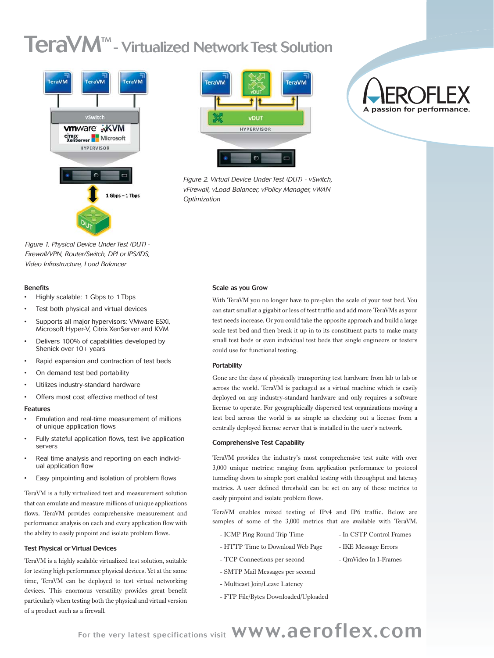# **TeraVM<sup>™</sup>- Virtualized Network Test Solution**



*Figure 1. Physical Device Under Test (DUT) - Firewall/VPN, Router/Switch, DPI or IPS/IDS, Video Infrastructure, Load Balancer*

#### Benefits

- Highly scalable: 1 Gbps to 1 Tbps
- Test both physical and virtual devices
- Supports all major hypervisors: VMware ESXi, Microsoft Hyper-V, Citrix XenServer and KVM
- Delivers 100% of capabilities developed by Shenick over 10+ years
- Rapid expansion and contraction of test beds
- On demand test bed portability
- Utilizes industry-standard hardware
- Offers most cost effective method of test

#### Features

- Emulation and real-time measurement of millions of unique application flows
- Fully stateful application flows, test live application servers
- Real time analysis and reporting on each individual application flow
- Easy pinpointing and isolation of problem flows

TeraVM is a fully virtualized test and measurement solution that can emulate and measure millions of unique applications flows. TeraVM provides comprehensive measurement and performance analysis on each and every application flow with the ability to easily pinpoint and isolate problem flows.

#### Test Physical or Virtual Devices

TeraVM is a highly scalable virtualized test solution, suitable for testing high performance physical devices. Yet at the same time, TeraVM can be deployed to test virtual networking devices. This enormous versatility provides great benefit particularly when testing both the physical and virtual version of a product such as a firewall.



*Figure 2. Virtual Device Under Test (DUT) - vSwitch, vFirewall, vLoad Balancer, vPolicy Manager, vWAN Optimization*

# A passion for performance.

#### Scale as you Grow

With TeraVM you no longer have to pre-plan the scale of your test bed. You can start small at a gigabit or less of test traffic and add more TeraVMs as your test needs increase. Or you could take the opposite approach and build a large scale test bed and then break it up in to its constituent parts to make many small test beds or even individual test beds that single engineers or testers could use for functional testing.

#### **Portability**

Gone are the days of physically transporting test hardware from lab to lab or across the world. TeraVM is packaged as a virtual machine which is easily deployed on any industry-standard hardware and only requires a software license to operate. For geographically dispersed test organizations moving a test bed across the world is as simple as checking out a license from a centrally deployed license server that is installed in the user's network.

#### Comprehensive Test Capability

TeraVM provides the industry's most comprehensive test suite with over 3,000 unique metrics; ranging from application performance to protocol tunneling down to simple port enabled testing with throughput and latency metrics. A user defined threshold can be set on any of these metrics to easily pinpoint and isolate problem flows.

TeraVM enables mixed testing of IPv4 and IP6 traffic. Below are samples of some of the 3,000 metrics that are available with TeraVM.

- ICMP Ping Round Trip Time In CSTP Control Frames
	- HTTP Time to Download Web Page | IKE Message Errors
- - TCP Connections per second QmVideo In I-Frames
	- SMTP Mail Messages per second
- Multicast Join/Leave Latency
- FTP File/Bytes Downloaded/Uploaded

For the very latest specifications visit WWW.aeroflex.com